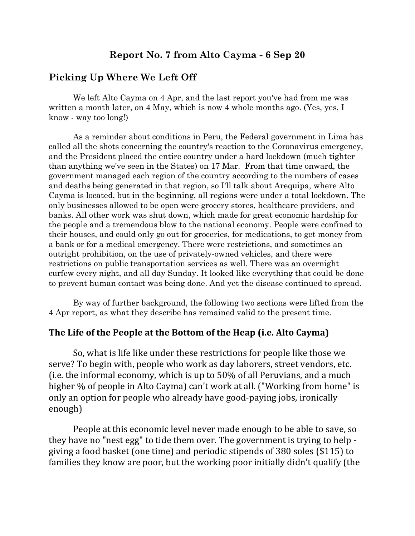## **Report No. 7 from Alto Cayma - 6 Sep 20**

#### **Picking Up Where We Left Off**

We left Alto Cayma on 4 Apr, and the last report you've had from me was written a month later, on 4 May, which is now 4 whole months ago. (Yes, yes, I know - way too long!)

As a reminder about conditions in Peru, the Federal government in Lima has called all the shots concerning the country's reaction to the Coronavirus emergency, and the President placed the entire country under a hard lockdown (much tighter than anything we've seen in the States) on 17 Mar. From that time onward, the government managed each region of the country according to the numbers of cases and deaths being generated in that region, so I'll talk about Arequipa, where Alto Cayma is located, but in the beginning, all regions were under a total lockdown. The only businesses allowed to be open were grocery stores, healthcare providers, and banks. All other work was shut down, which made for great economic hardship for the people and a tremendous blow to the national economy. People were confined to their houses, and could only go out for groceries, for medications, to get money from a bank or for a medical emergency. There were restrictions, and sometimes an outright prohibition, on the use of privately-owned vehicles, and there were restrictions on public transportation services as well. There was an overnight curfew every night, and all day Sunday. It looked like everything that could be done to prevent human contact was being done. And yet the disease continued to spread.

By way of further background, the following two sections were lifted from the 4 Apr report, as what they describe has remained valid to the present time.

## The Life of the People at the Bottom of the Heap (i.e. Alto Cayma)

So, what is life like under these restrictions for people like those we serve? To begin with, people who work as day laborers, street vendors, etc. (i.e. the informal economy, which is up to  $50\%$  of all Peruvians, and a much higher % of people in Alto Cayma) can't work at all. ("Working from home" is only an option for people who already have good-paying jobs, ironically enough) 

People at this economic level never made enough to be able to save, so they have no "nest egg" to tide them over. The government is trying to help giving a food basket (one time) and periodic stipends of 380 soles (\$115) to families they know are poor, but the working poor initially didn't qualify (the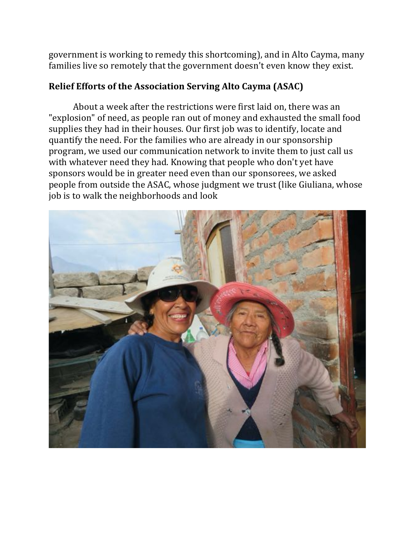government is working to remedy this shortcoming), and in Alto Cayma, many families live so remotely that the government doesn't even know they exist.

## **Relief Efforts of the Association Serving Alto Cayma (ASAC)**

About a week after the restrictions were first laid on, there was an "explosion" of need, as people ran out of money and exhausted the small food supplies they had in their houses. Our first job was to identify, locate and quantify the need. For the families who are already in our sponsorship program, we used our communication network to invite them to just call us with whatever need they had. Knowing that people who don't yet have sponsors would be in greater need even than our sponsorees, we asked people from outside the ASAC, whose judgment we trust (like Giuliana, whose job is to walk the neighborhoods and look

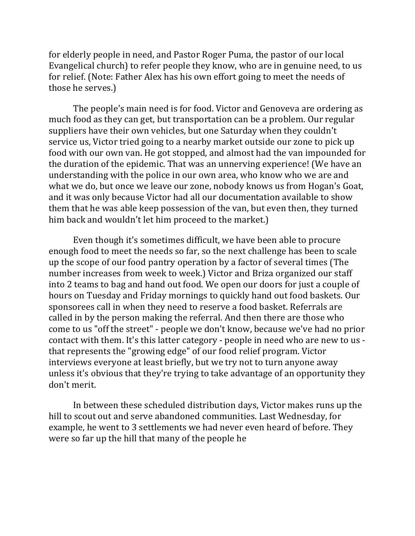for elderly people in need, and Pastor Roger Puma, the pastor of our local Evangelical church) to refer people they know, who are in genuine need, to us for relief. (Note: Father Alex has his own effort going to meet the needs of those he serves.)

The people's main need is for food. Victor and Genoveva are ordering as much food as they can get, but transportation can be a problem. Our regular suppliers have their own vehicles, but one Saturday when they couldn't service us, Victor tried going to a nearby market outside our zone to pick up food with our own van. He got stopped, and almost had the van impounded for the duration of the epidemic. That was an unnerving experience! (We have an understanding with the police in our own area, who know who we are and what we do, but once we leave our zone, nobody knows us from Hogan's Goat, and it was only because Victor had all our documentation available to show them that he was able keep possession of the van, but even then, they turned him back and wouldn't let him proceed to the market.)

Even though it's sometimes difficult, we have been able to procure enough food to meet the needs so far, so the next challenge has been to scale up the scope of our food pantry operation by a factor of several times (The number increases from week to week.) Victor and Briza organized our staff into 2 teams to bag and hand out food. We open our doors for just a couple of hours on Tuesday and Friday mornings to quickly hand out food baskets. Our sponsorees call in when they need to reserve a food basket. Referrals are called in by the person making the referral. And then there are those who come to us "off the street" - people we don't know, because we've had no prior contact with them. It's this latter category - people in need who are new to us that represents the "growing edge" of our food relief program. Victor interviews everyone at least briefly, but we try not to turn anyone away unless it's obvious that they're trying to take advantage of an opportunity they don't merit.

In between these scheduled distribution days, Victor makes runs up the hill to scout out and serve abandoned communities. Last Wednesday, for example, he went to 3 settlements we had never even heard of before. They were so far up the hill that many of the people he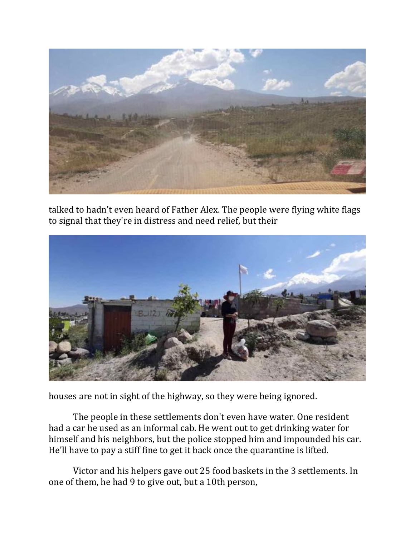

talked to hadn't even heard of Father Alex. The people were flying white flags to signal that they're in distress and need relief, but their



houses are not in sight of the highway, so they were being ignored.

The people in these settlements don't even have water. One resident had a car he used as an informal cab. He went out to get drinking water for himself and his neighbors, but the police stopped him and impounded his car. He'll have to pay a stiff fine to get it back once the quarantine is lifted.

Victor and his helpers gave out 25 food baskets in the 3 settlements. In one of them, he had 9 to give out, but a 10th person,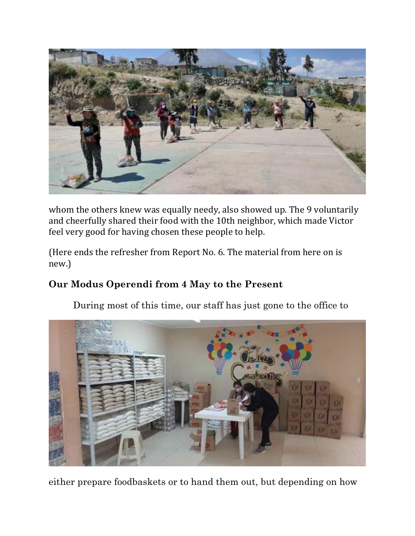

whom the others knew was equally needy, also showed up. The 9 voluntarily and cheerfully shared their food with the 10th neighbor, which made Victor feel very good for having chosen these people to help.

(Here ends the refresher from Report No. 6. The material from here on is new.)

# **Our Modus Operendi from 4 May to the Present**

During most of this time, our staff has just gone to the office to



either prepare foodbaskets or to hand them out, but depending on how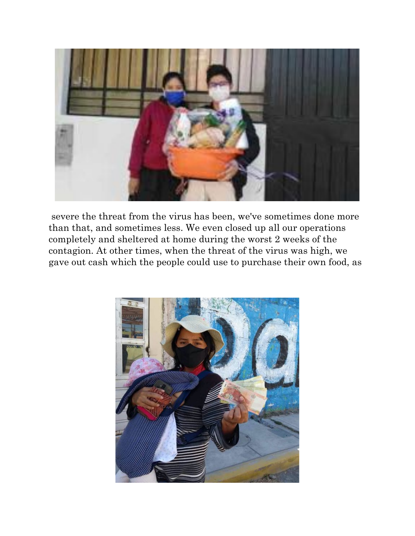

severe the threat from the virus has been, we've sometimes done more than that, and sometimes less. We even closed up all our operations completely and sheltered at home during the worst 2 weeks of the contagion. At other times, when the threat of the virus was high, we gave out cash which the people could use to purchase their own food, as

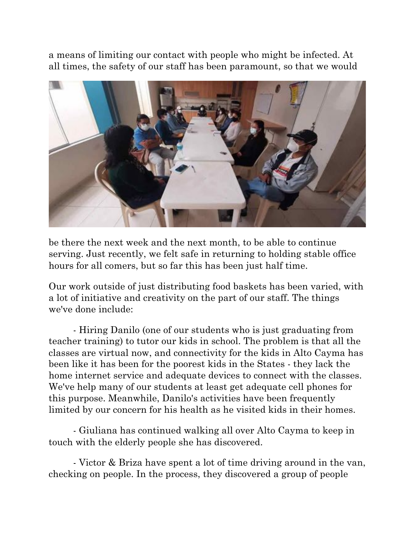a means of limiting our contact with people who might be infected. At all times, the safety of our staff has been paramount, so that we would



be there the next week and the next month, to be able to continue serving. Just recently, we felt safe in returning to holding stable office hours for all comers, but so far this has been just half time.

Our work outside of just distributing food baskets has been varied, with a lot of initiative and creativity on the part of our staff. The things we've done include:

- Hiring Danilo (one of our students who is just graduating from teacher training) to tutor our kids in school. The problem is that all the classes are virtual now, and connectivity for the kids in Alto Cayma has been like it has been for the poorest kids in the States - they lack the home internet service and adequate devices to connect with the classes. We've help many of our students at least get adequate cell phones for this purpose. Meanwhile, Danilo's activities have been frequently limited by our concern for his health as he visited kids in their homes.

- Giuliana has continued walking all over Alto Cayma to keep in touch with the elderly people she has discovered.

- Victor & Briza have spent a lot of time driving around in the van, checking on people. In the process, they discovered a group of people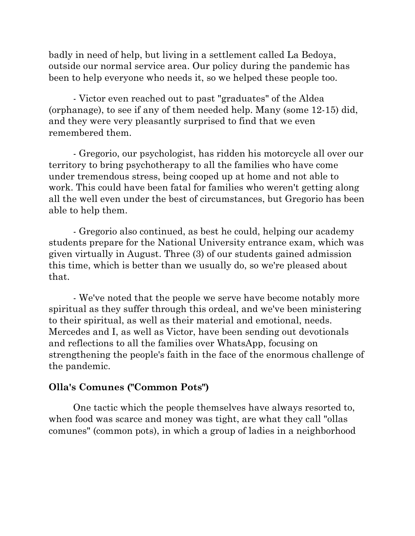badly in need of help, but living in a settlement called La Bedoya, outside our normal service area. Our policy during the pandemic has been to help everyone who needs it, so we helped these people too.

- Victor even reached out to past "graduates" of the Aldea (orphanage), to see if any of them needed help. Many (some 12-15) did, and they were very pleasantly surprised to find that we even remembered them.

- Gregorio, our psychologist, has ridden his motorcycle all over our territory to bring psychotherapy to all the families who have come under tremendous stress, being cooped up at home and not able to work. This could have been fatal for families who weren't getting along all the well even under the best of circumstances, but Gregorio has been able to help them.

- Gregorio also continued, as best he could, helping our academy students prepare for the National University entrance exam, which was given virtually in August. Three (3) of our students gained admission this time, which is better than we usually do, so we're pleased about that.

- We've noted that the people we serve have become notably more spiritual as they suffer through this ordeal, and we've been ministering to their spiritual, as well as their material and emotional, needs. Mercedes and I, as well as Victor, have been sending out devotionals and reflections to all the families over WhatsApp, focusing on strengthening the people's faith in the face of the enormous challenge of the pandemic.

## **Olla's Comunes ("Common Pots")**

One tactic which the people themselves have always resorted to, when food was scarce and money was tight, are what they call "ollas comunes" (common pots), in which a group of ladies in a neighborhood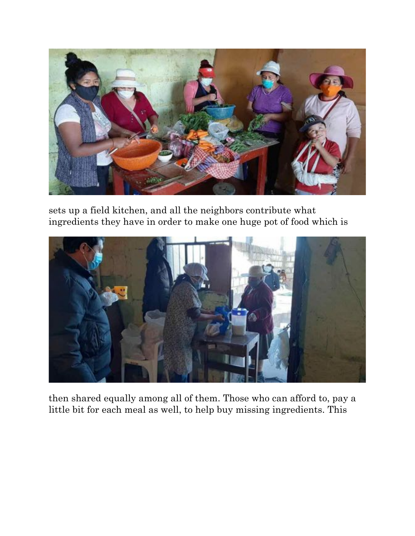

sets up a field kitchen, and all the neighbors contribute what ingredients they have in order to make one huge pot of food which is



then shared equally among all of them. Those who can afford to, pay a little bit for each meal as well, to help buy missing ingredients. This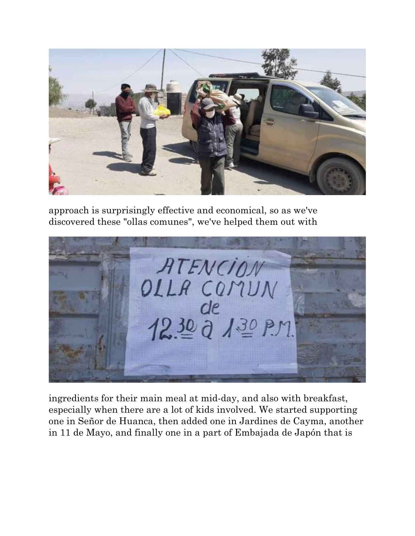

approach is surprisingly effective and economical, so as we've discovered these "ollas comunes", we've helped them out with



ingredients for their main meal at mid-day, and also with breakfast, especially when there are a lot of kids involved. We started supporting one in Señor de Huanca, then added one in Jardines de Cayma, another in 11 de Mayo, and finally one in a part of Embajada de Japón that is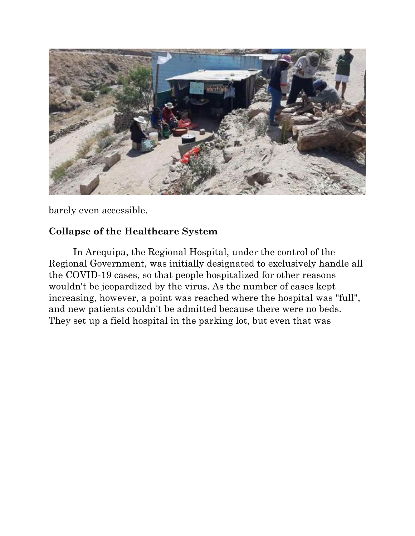

barely even accessible.

# **Collapse of the Healthcare System**

In Arequipa, the Regional Hospital, under the control of the Regional Government, was initially designated to exclusively handle all the COVID-19 cases, so that people hospitalized for other reasons wouldn't be jeopardized by the virus. As the number of cases kept increasing, however, a point was reached where the hospital was "full", and new patients couldn't be admitted because there were no beds. They set up a field hospital in the parking lot, but even that was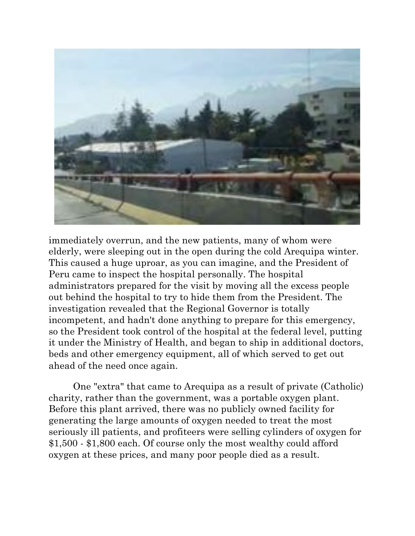

immediately overrun, and the new patients, many of whom were elderly, were sleeping out in the open during the cold Arequipa winter. This caused a huge uproar, as you can imagine, and the President of Peru came to inspect the hospital personally. The hospital administrators prepared for the visit by moving all the excess people out behind the hospital to try to hide them from the President. The investigation revealed that the Regional Governor is totally incompetent, and hadn't done anything to prepare for this emergency, so the President took control of the hospital at the federal level, putting it under the Ministry of Health, and began to ship in additional doctors, beds and other emergency equipment, all of which served to get out ahead of the need once again.

One "extra" that came to Arequipa as a result of private (Catholic) charity, rather than the government, was a portable oxygen plant. Before this plant arrived, there was no publicly owned facility for generating the large amounts of oxygen needed to treat the most seriously ill patients, and profiteers were selling cylinders of oxygen for \$1,500 - \$1,800 each. Of course only the most wealthy could afford oxygen at these prices, and many poor people died as a result.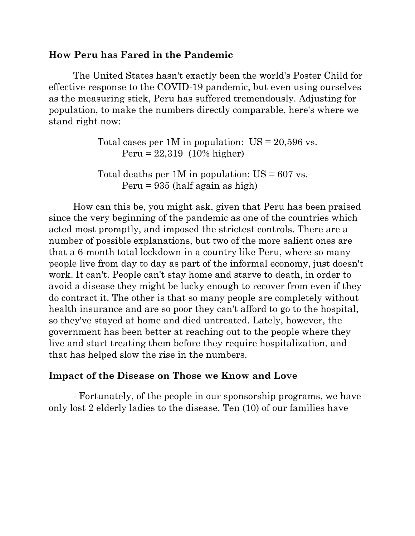## **How Peru has Fared in the Pandemic**

The United States hasn't exactly been the world's Poster Child for effective response to the COVID-19 pandemic, but even using ourselves as the measuring stick, Peru has suffered tremendously. Adjusting for population, to make the numbers directly comparable, here's where we stand right now:

> Total cases per 1M in population:  $US = 20,596$  vs. Peru = 22,319 (10% higher)

Total deaths per  $1M$  in population:  $US = 607$  vs. Peru = 935 (half again as high)

How can this be, you might ask, given that Peru has been praised since the very beginning of the pandemic as one of the countries which acted most promptly, and imposed the strictest controls. There are a number of possible explanations, but two of the more salient ones are that a 6-month total lockdown in a country like Peru, where so many people live from day to day as part of the informal economy, just doesn't work. It can't. People can't stay home and starve to death, in order to avoid a disease they might be lucky enough to recover from even if they do contract it. The other is that so many people are completely without health insurance and are so poor they can't afford to go to the hospital, so they've stayed at home and died untreated. Lately, however, the government has been better at reaching out to the people where they live and start treating them before they require hospitalization, and that has helped slow the rise in the numbers.

## **Impact of the Disease on Those we Know and Love**

- Fortunately, of the people in our sponsorship programs, we have only lost 2 elderly ladies to the disease. Ten (10) of our families have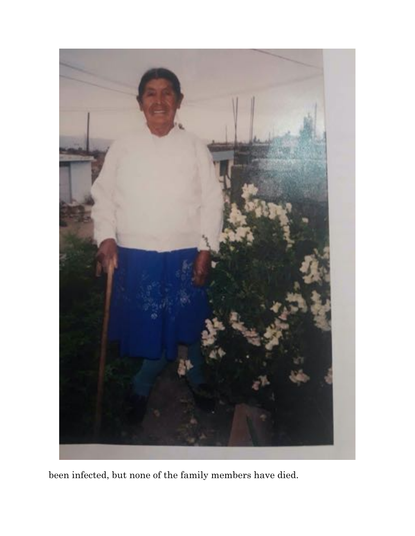

been infected, but none of the family members have died.